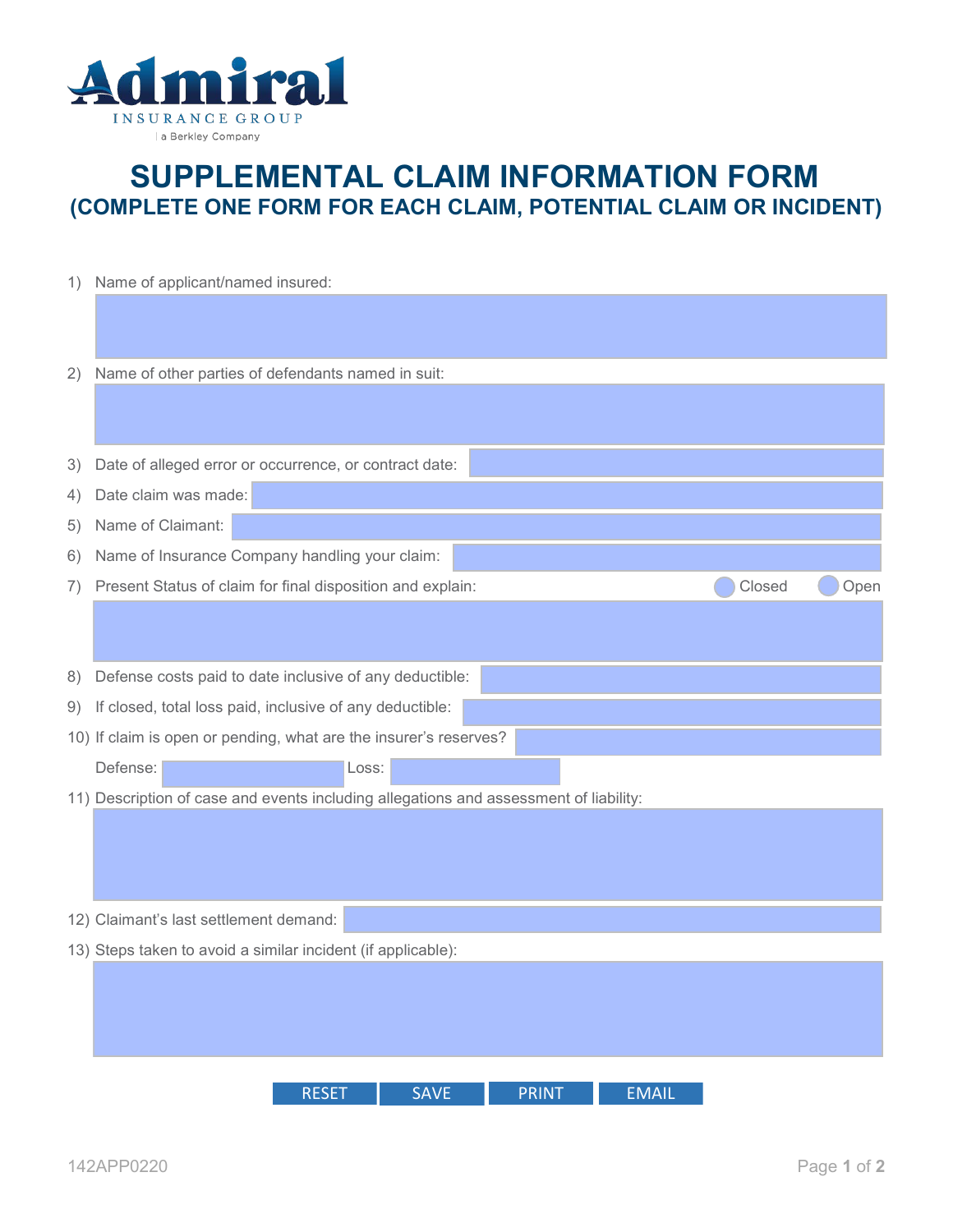

## **SUPPLEMENTAL CLAIM INFORMATION FORM (COMPLETE ONE FORM FOR EACH CLAIM, POTENTIAL CLAIM OR INCIDENT)**

| 1)                                                                                    | Name of applicant/named insured:                             |        |      |  |  |
|---------------------------------------------------------------------------------------|--------------------------------------------------------------|--------|------|--|--|
|                                                                                       |                                                              |        |      |  |  |
|                                                                                       |                                                              |        |      |  |  |
| 2)                                                                                    | Name of other parties of defendants named in suit:           |        |      |  |  |
|                                                                                       |                                                              |        |      |  |  |
| 3)                                                                                    | Date of alleged error or occurrence, or contract date:       |        |      |  |  |
| 4)                                                                                    | Date claim was made:                                         |        |      |  |  |
| 5)                                                                                    | Name of Claimant:                                            |        |      |  |  |
| 6)                                                                                    | Name of Insurance Company handling your claim:               |        |      |  |  |
| 7)                                                                                    | Present Status of claim for final disposition and explain:   | Closed | Open |  |  |
|                                                                                       |                                                              |        |      |  |  |
|                                                                                       |                                                              |        |      |  |  |
| 8)                                                                                    | Defense costs paid to date inclusive of any deductible:      |        |      |  |  |
| 9)                                                                                    | If closed, total loss paid, inclusive of any deductible:     |        |      |  |  |
| 10) If claim is open or pending, what are the insurer's reserves?                     |                                                              |        |      |  |  |
|                                                                                       | Defense:<br>Loss:                                            |        |      |  |  |
| 11) Description of case and events including allegations and assessment of liability: |                                                              |        |      |  |  |
|                                                                                       |                                                              |        |      |  |  |
|                                                                                       |                                                              |        |      |  |  |
|                                                                                       |                                                              |        |      |  |  |
| 12) Claimant's last settlement demand:                                                |                                                              |        |      |  |  |
|                                                                                       | 13) Steps taken to avoid a similar incident (if applicable): |        |      |  |  |
|                                                                                       |                                                              |        |      |  |  |
|                                                                                       |                                                              |        |      |  |  |
|                                                                                       |                                                              |        |      |  |  |
|                                                                                       |                                                              |        |      |  |  |
|                                                                                       | <b>RESET</b><br><b>SAVE</b><br><b>PRINT</b><br><b>EMAIL</b>  |        |      |  |  |